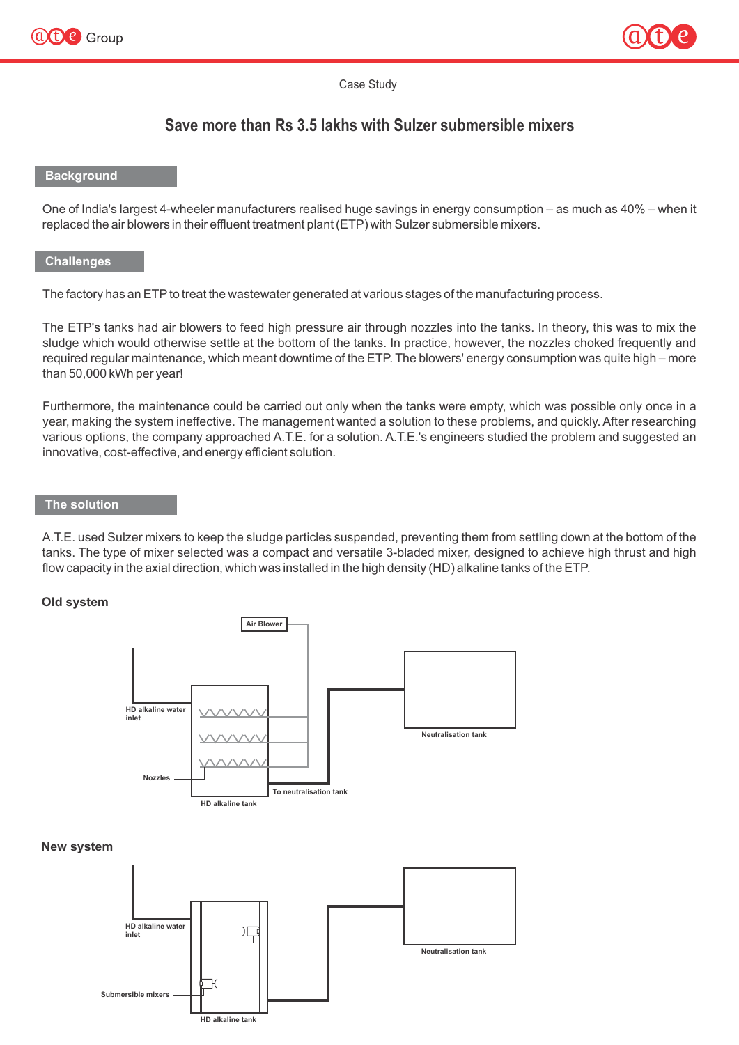



Case Study

# **Save more than Rs 3.5 lakhs with Sulzer submersible mixers**

# **Background**

One of India's largest 4-wheeler manufacturers realised huge savings in energy consumption – as much as 40% – when it replaced the air blowers in their effluent treatment plant (ETP) with Sulzer submersible mixers.

## **Challenges**

The factory has an ETP to treat the wastewater generated at various stages of the manufacturing process.

The ETP's tanks had air blowers to feed high pressure air through nozzles into the tanks. In theory, this was to mix the sludge which would otherwise settle at the bottom of the tanks. In practice, however, the nozzles choked frequently and required regular maintenance, which meant downtime of the ETP. The blowers' energy consumption was quite high – more than 50,000 kWh per year!

Furthermore, the maintenance could be carried out only when the tanks were empty, which was possible only once in a year, making the system ineffective. The management wanted a solution to these problems, and quickly. After researching various options, the company approached A.T.E. for a solution. A.T.E.'s engineers studied the problem and suggested an innovative, cost-effective, and energy efficient solution.

# **The solution**

A.T.E. used Sulzer mixers to keep the sludge particles suspended, preventing them from settling down at the bottom of the tanks. The type of mixer selected was a compact and versatile 3-bladed mixer, designed to achieve high thrust and high flow capacity in the axial direction, which was installed in the high density (HD) alkaline tanks of the ETP.

## **Old system**



#### **New system**